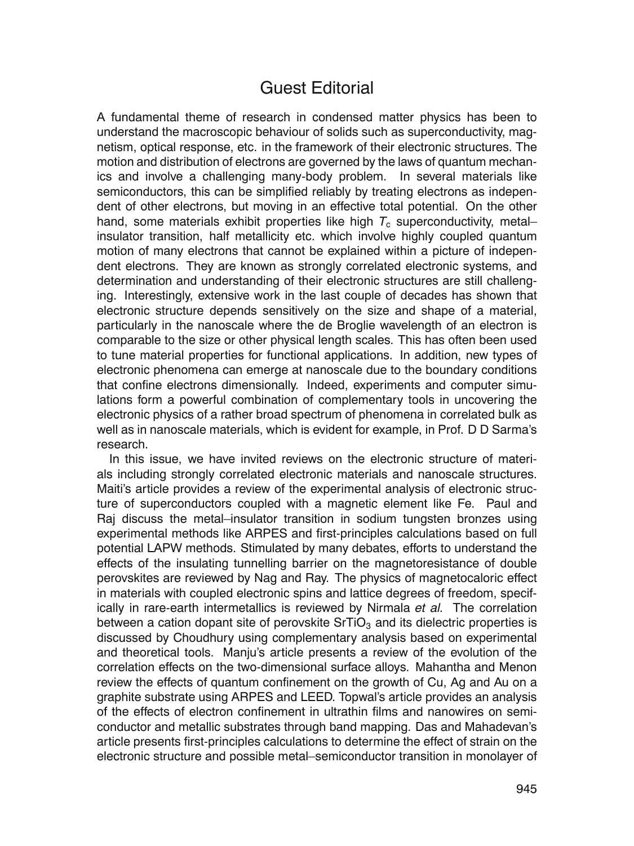## Guest Editorial

A fundamental theme of research in condensed matter physics has been to understand the macroscopic behaviour of solids such as superconductivity, magnetism, optical response, etc. in the framework of their electronic structures. The motion and distribution of electrons are governed by the laws of quantum mechanics and involve a challenging many-body problem. In several materials like semiconductors, this can be simplified reliably by treating electrons as independent of other electrons, but moving in an effective total potential. On the other hand, some materials exhibit properties like high  $T_c$  superconductivity, metal– insulator transition, half metallicity etc. which involve highly coupled quantum motion of many electrons that cannot be explained within a picture of independent electrons. They are known as strongly correlated electronic systems, and determination and understanding of their electronic structures are still challenging. Interestingly, extensive work in the last couple of decades has shown that electronic structure depends sensitively on the size and shape of a material, particularly in the nanoscale where the de Broglie wavelength of an electron is comparable to the size or other physical length scales. This has often been used to tune material properties for functional applications. In addition, new types of electronic phenomena can emerge at nanoscale due to the boundary conditions that confine electrons dimensionally. Indeed, experiments and computer simulations form a powerful combination of complementary tools in uncovering the electronic physics of a rather broad spectrum of phenomena in correlated bulk as well as in nanoscale materials, which is evident for example, in Prof. D D Sarma's research.

In this issue, we have invited reviews on the electronic structure of materials including strongly correlated electronic materials and nanoscale structures. Maiti's article provides a review of the experimental analysis of electronic structure of superconductors coupled with a magnetic element like Fe. Paul and Raj discuss the metal–insulator transition in sodium tungsten bronzes using experimental methods like ARPES and first-principles calculations based on full potential LAPW methods. Stimulated by many debates, efforts to understand the effects of the insulating tunnelling barrier on the magnetoresistance of double perovskites are reviewed by Nag and Ray. The physics of magnetocaloric effect in materials with coupled electronic spins and lattice degrees of freedom, specifically in rare-earth intermetallics is reviewed by Nirmala *et al.* The correlation between a cation dopant site of perovskite  $SrTiO<sub>3</sub>$  and its dielectric properties is discussed by Choudhury using complementary analysis based on experimental and theoretical tools. Manju's article presents a review of the evolution of the correlation effects on the two-dimensional surface alloys. Mahantha and Menon review the effects of quantum confinement on the growth of Cu, Ag and Au on a graphite substrate using ARPES and LEED. Topwal's article provides an analysis of the effects of electron confinement in ultrathin films and nanowires on semiconductor and metallic substrates through band mapping. Das and Mahadevan's article presents first-principles calculations to determine the effect of strain on the electronic structure and possible metal–semiconductor transition in monolayer of